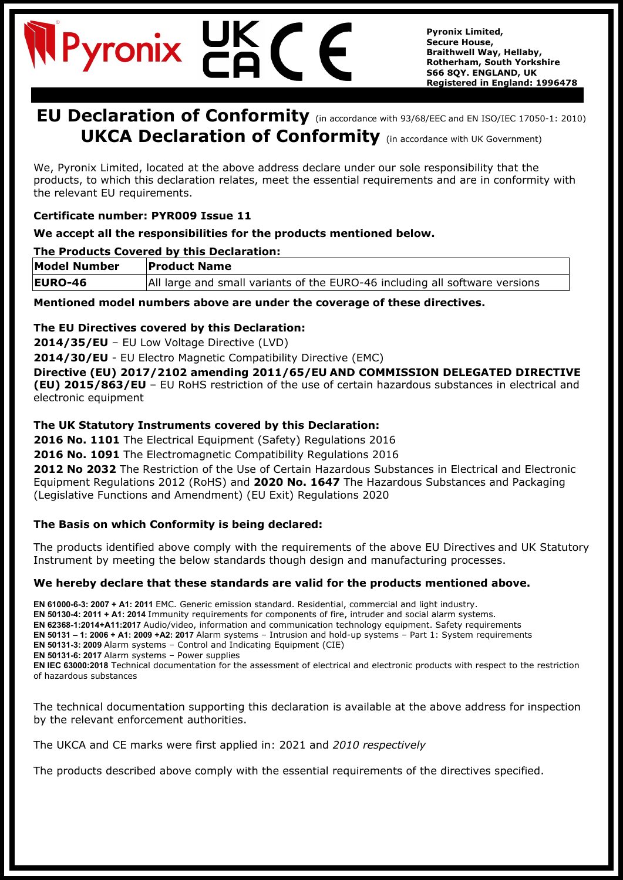# Pyronix

**Pyronix Limited, Secure House, Braithwell Way, Hellaby, Rotherham, South Yorkshire S66 8QY. ENGLAND, UK Registered in England: 1996478**

### **EU Declaration of Conformity** (in accordance with 93/68/EEC and EN ISO/IEC 17050-1: 2010) **UKCA Declaration of Conformity** (in accordance with UK Government)

We, Pyronix Limited, located at the above address declare under our sole responsibility that the products, to which this declaration relates, meet the essential requirements and are in conformity with the relevant EU requirements.

#### **Certificate number: PYR009 Issue 11**

#### **We accept all the responsibilities for the products mentioned below.**

#### **The Products Covered by this Declaration:**

| <b>Model Number</b> | <b>Product Name</b>                                                         |
|---------------------|-----------------------------------------------------------------------------|
| <b>EURO-46</b>      | All large and small variants of the EURO-46 including all software versions |

**Mentioned model numbers above are under the coverage of these directives.**

#### **The EU Directives covered by this Declaration:**

**2014/35/EU** – EU Low Voltage Directive (LVD)

**2014/30/EU** - EU Electro Magnetic Compatibility Directive (EMC)

**Directive (EU) 2017/2102 amending 2011/65/EU AND COMMISSION DELEGATED DIRECTIVE (EU) 2015/863/EU** – EU RoHS restriction of the use of certain hazardous substances in electrical and electronic equipment

#### **The UK Statutory Instruments covered by this Declaration:**

**2016 No. 1101** The Electrical Equipment (Safety) Regulations 2016

**2016 No. 1091** The Electromagnetic Compatibility Regulations 2016

**2012 No 2032** The Restriction of the Use of Certain Hazardous Substances in Electrical and Electronic Equipment Regulations 2012 (RoHS) and **2020 No. 1647** The Hazardous Substances and Packaging (Legislative Functions and Amendment) (EU Exit) Regulations 2020

#### **The Basis on which Conformity is being declared:**

The products identified above comply with the requirements of the above EU Directives and UK Statutory Instrument by meeting the below standards though design and manufacturing processes.

#### **We hereby declare that these standards are valid for the products mentioned above.**

**EN 61000-6-3: 2007 + A1: 2011** EMC. Generic emission standard. Residential, commercial and light industry. **EN 50130-4: 2011 + A1: 2014** Immunity requirements for components of fire, intruder and social alarm systems. **EN 62368-1:2014+A11:2017** Audio/video, information and communication technology equipment. Safety requirements **EN 50131 – 1: 2006 + A1: 2009 +A2: 2017** Alarm systems – Intrusion and hold-up systems – Part 1: System requirements **EN 50131-3: 2009** Alarm systems – Control and Indicating Equipment (CIE) **EN 50131-6: 2017** Alarm systems – Power supplies **EN IEC 63000:2018** Technical documentation for the assessment of electrical and electronic products with respect to the restriction of hazardous substances

The technical documentation supporting this declaration is available at the above address for inspection by the relevant enforcement authorities.

The UKCA and CE marks were first applied in: 2021 and *2010 respectively*

The products described above comply with the essential requirements of the directives specified.